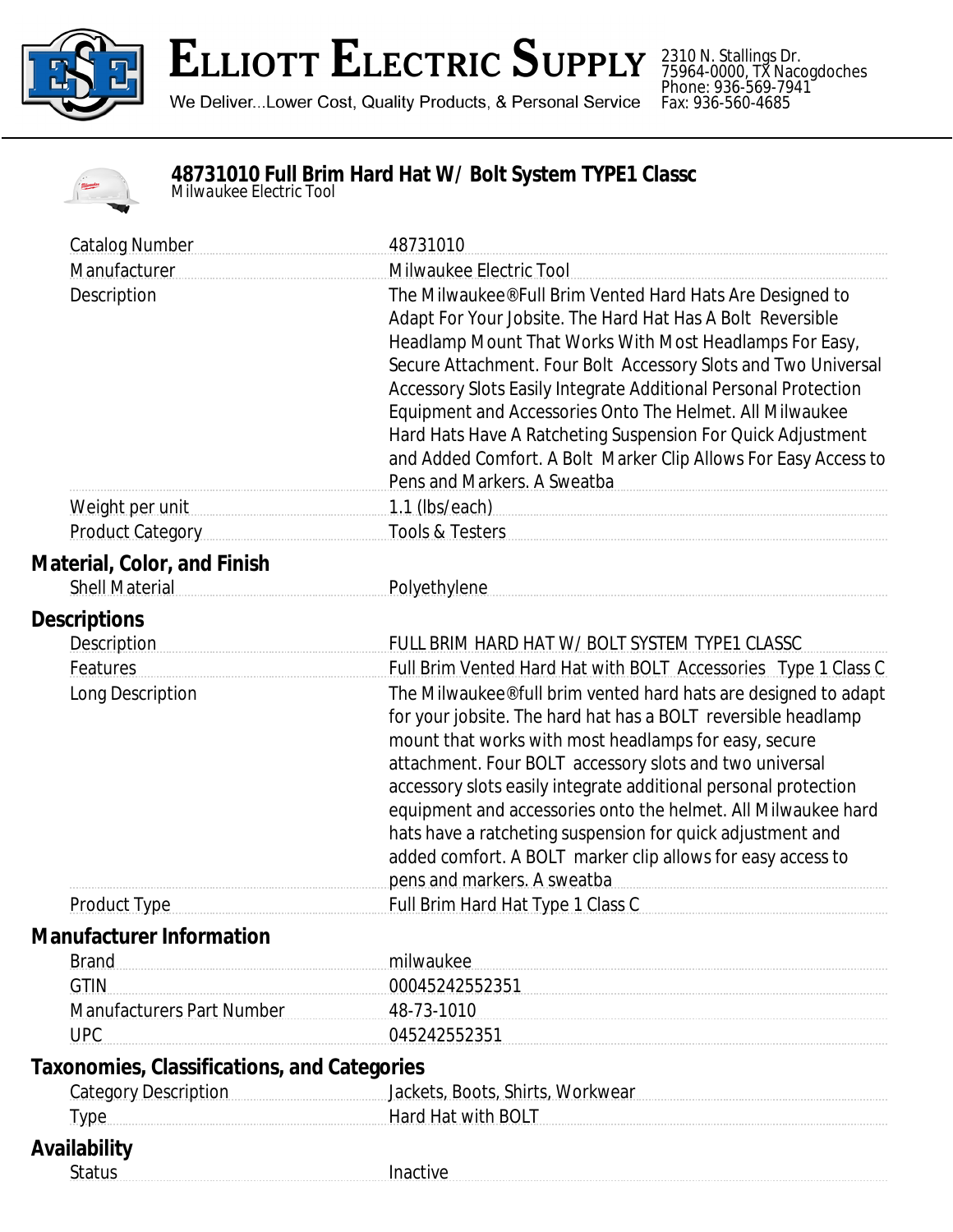

## **ELLIOTT ELECTRIC SUPPLY**

We Deliver...Lower Cost, Quality Products, & Personal Service

2310 N. Stallings Dr. 75964-0000, TX Nacogdoches Phone: 936-569-7941 Fax: 936-560-4685

## **48731010 Full Brim Hard Hat W/ Bolt System TYPE1 Classc** *Milwaukee Electric Tool*

| <b>Catalog Number</b>                                       | 48731010                                                                                                                                                                                                                                                                                                                                                                                                                                                                                                                                             |
|-------------------------------------------------------------|------------------------------------------------------------------------------------------------------------------------------------------------------------------------------------------------------------------------------------------------------------------------------------------------------------------------------------------------------------------------------------------------------------------------------------------------------------------------------------------------------------------------------------------------------|
| Manufacturer                                                | Milwaukee Electric Tool                                                                                                                                                                                                                                                                                                                                                                                                                                                                                                                              |
| Description                                                 | The Milwaukee® Full Brim Vented Hard Hats Are Designed to<br>Adapt For Your Jobsite. The Hard Hat Has A Bolt Reversible<br>Headlamp Mount That Works With Most Headlamps For Easy,<br>Secure Attachment. Four Bolt Accessory Slots and Two Universal<br>Accessory Slots Easily Integrate Additional Personal Protection<br>Equipment and Accessories Onto The Helmet. All Milwaukee<br>Hard Hats Have A Ratcheting Suspension For Quick Adjustment<br>and Added Comfort. A Bolt Marker Clip Allows For Easy Access to<br>Pens and Markers. A Sweatba |
| Weight per unit                                             | 1.1 (lbs/each)                                                                                                                                                                                                                                                                                                                                                                                                                                                                                                                                       |
| <b>Product Category</b>                                     | Tools & Testers                                                                                                                                                                                                                                                                                                                                                                                                                                                                                                                                      |
| <b>Material, Color, and Finish</b><br><b>Shell Material</b> | <b>Polyethylene</b>                                                                                                                                                                                                                                                                                                                                                                                                                                                                                                                                  |
| <b>Descriptions</b>                                         |                                                                                                                                                                                                                                                                                                                                                                                                                                                                                                                                                      |
| <b>Description</b>                                          | FULL BRIM HARD HAT W/ BOLT SYSTEM TYPE1 CLASSC                                                                                                                                                                                                                                                                                                                                                                                                                                                                                                       |
| Features                                                    | Full Brim Vented Hard Hat with BOLT Accessories Type 1 Class C                                                                                                                                                                                                                                                                                                                                                                                                                                                                                       |
| Long Description                                            | The Milwaukee® full brim vented hard hats are designed to adapt<br>for your jobsite. The hard hat has a BOLT reversible headlamp<br>mount that works with most headlamps for easy, secure<br>attachment. Four BOLT accessory slots and two universal<br>accessory slots easily integrate additional personal protection<br>equipment and accessories onto the helmet. All Milwaukee hard<br>hats have a ratcheting suspension for quick adjustment and<br>added comfort. A BOLT marker clip allows for easy access to<br>pens and markers. A sweatba |
| <b>Product Type</b>                                         | Full Brim Hard Hat Type 1 Class C                                                                                                                                                                                                                                                                                                                                                                                                                                                                                                                    |
| <b>Manufacturer Information</b><br><b>Brand</b>             | milwaukee                                                                                                                                                                                                                                                                                                                                                                                                                                                                                                                                            |
| <b>GTIN</b>                                                 | 00045242552351                                                                                                                                                                                                                                                                                                                                                                                                                                                                                                                                       |
| <b>Manufacturers Part Number</b>                            | 48-73-1010                                                                                                                                                                                                                                                                                                                                                                                                                                                                                                                                           |
| <b>UPC</b>                                                  | 045242552351                                                                                                                                                                                                                                                                                                                                                                                                                                                                                                                                         |
| Taxonomies, Classifications, and Categories                 |                                                                                                                                                                                                                                                                                                                                                                                                                                                                                                                                                      |
| <b>Category Description</b>                                 | Jackets, Boots, Shirts, Workwear                                                                                                                                                                                                                                                                                                                                                                                                                                                                                                                     |
| <b>Type</b>                                                 | Hard Hat with BOLT                                                                                                                                                                                                                                                                                                                                                                                                                                                                                                                                   |
| Availability<br><b>Status</b>                               | Inactive                                                                                                                                                                                                                                                                                                                                                                                                                                                                                                                                             |